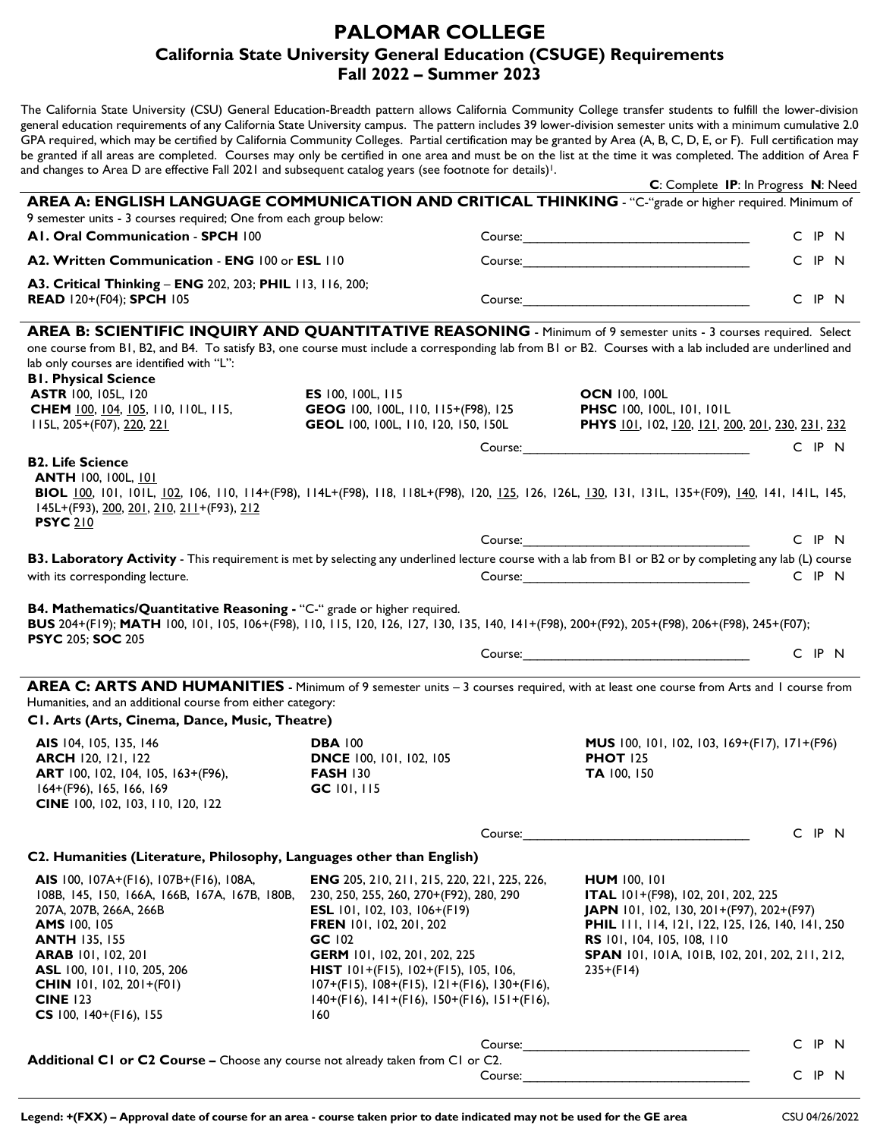## **PALOMAR COLLEGE California State University General Education (CSUGE) Requirements Fall 2022 – Summer 2023**

The California State University (CSU) General Education-Breadth pattern allows California Community College transfer students to fulfill the lower-division general education requirements of any California State University campus. The pattern includes 39 lower-division semester units with a minimum cumulative 2.0 GPA required, which may be certified by California Community Colleges. Partial certification may be granted by Area (A, B, C, D, E, or F). Full certification may be granted if all areas are completed. Courses may only be certified in one area and must be on the list at the time it was completed. The addition of Area F and changes to Area D are effective Fall 2021 and subsequent catalog years (see footnote for details)<sup>1</sup>.

|                                                                                                                                                                                                                                                                                                                                                                                                                                                                                                                                                                                                                                                                                                                                                                                                                                                                                                      |                                                                                                                                                                                                                                                                                                                                                                            | C: Complete IP: In Progress N: Need                                                                                                                                                                                                                                    |                      |  |
|------------------------------------------------------------------------------------------------------------------------------------------------------------------------------------------------------------------------------------------------------------------------------------------------------------------------------------------------------------------------------------------------------------------------------------------------------------------------------------------------------------------------------------------------------------------------------------------------------------------------------------------------------------------------------------------------------------------------------------------------------------------------------------------------------------------------------------------------------------------------------------------------------|----------------------------------------------------------------------------------------------------------------------------------------------------------------------------------------------------------------------------------------------------------------------------------------------------------------------------------------------------------------------------|------------------------------------------------------------------------------------------------------------------------------------------------------------------------------------------------------------------------------------------------------------------------|----------------------|--|
| AREA A: ENGLISH LANGUAGE COMMUNICATION AND CRITICAL THINKING - "C-"grade or higher required. Minimum of<br>9 semester units - 3 courses required; One from each group below:                                                                                                                                                                                                                                                                                                                                                                                                                                                                                                                                                                                                                                                                                                                         |                                                                                                                                                                                                                                                                                                                                                                            |                                                                                                                                                                                                                                                                        |                      |  |
| AI. Oral Communication - SPCH 100                                                                                                                                                                                                                                                                                                                                                                                                                                                                                                                                                                                                                                                                                                                                                                                                                                                                    |                                                                                                                                                                                                                                                                                                                                                                            |                                                                                                                                                                                                                                                                        | C IP N               |  |
| A2. Written Communication - ENG 100 or ESL 110                                                                                                                                                                                                                                                                                                                                                                                                                                                                                                                                                                                                                                                                                                                                                                                                                                                       |                                                                                                                                                                                                                                                                                                                                                                            | Course: Note: 2008                                                                                                                                                                                                                                                     | C IP N               |  |
| A3. Critical Thinking - ENG 202, 203; PHIL 113, 116, 200;                                                                                                                                                                                                                                                                                                                                                                                                                                                                                                                                                                                                                                                                                                                                                                                                                                            |                                                                                                                                                                                                                                                                                                                                                                            |                                                                                                                                                                                                                                                                        |                      |  |
| <b>READ 120+(F04); SPCH 105</b>                                                                                                                                                                                                                                                                                                                                                                                                                                                                                                                                                                                                                                                                                                                                                                                                                                                                      |                                                                                                                                                                                                                                                                                                                                                                            |                                                                                                                                                                                                                                                                        | C IP N               |  |
| AREA B: SCIENTIFIC INQUIRY AND QUANTITATIVE REASONING - Minimum of 9 semester units - 3 courses required. Select<br>one course from B1, B2, and B4. To satisfy B3, one course must include a corresponding lab from B1 or B2. Courses with a lab included are underlined and<br>lab only courses are identified with "L":<br><b>BI. Physical Science</b><br>ASTR 100, 105L, 120<br><b>CHEM</b> 100, 104, 105, 110, 110L, 115,<br>II5L, 205+(F07), 220, 221<br><b>B2. Life Science</b><br><b>ANTH 100, 100L, 101</b><br>BIOL 100, 101, 101L, 102, 106, 110, 114+(F98), 114L+(F98), 118, 118L+(F98), 120, 125, 126, 126L, 130, 131, 131L, 135+(F09), 140, 141, 141L, 145,<br>145L+(F93), 200, 201, 210, 211+(F93), 212<br><b>PSYC 210</b><br>B3. Laboratory Activity - This requirement is met by selecting any underlined lecture course with a lab from B1 or B2 or by completing any lab (L) course | ES 100, 100L, 115<br>GEOG 100, 100L, 110, 115+(F98), 125<br>GEOL 100, 100L, 110, 120, 150, 150L                                                                                                                                                                                                                                                                            | <b>OCN 100, 100L</b><br>PHSC 100, 100L, 101, 101L<br>PHYS 101, 102, 120, 121, 200, 201, 230, 231, 232                                                                                                                                                                  | C IP N<br>$C$ IP $N$ |  |
| with its corresponding lecture.                                                                                                                                                                                                                                                                                                                                                                                                                                                                                                                                                                                                                                                                                                                                                                                                                                                                      |                                                                                                                                                                                                                                                                                                                                                                            |                                                                                                                                                                                                                                                                        | C IP N               |  |
| B4. Mathematics/Quantitative Reasoning - "C-" grade or higher required.<br>BUS 204+(F19); MATH 100, 101, 105, 106+(F98), 110, 115, 120, 126, 127, 130, 135, 140, 141+(F98), 200+(F92), 205+(F98), 206+(F98), 245+(F07);<br><b>PSYC 205; SOC 205</b>                                                                                                                                                                                                                                                                                                                                                                                                                                                                                                                                                                                                                                                  |                                                                                                                                                                                                                                                                                                                                                                            |                                                                                                                                                                                                                                                                        | C IP N               |  |
| AREA C: ARTS AND HUMANITIES - Minimum of 9 semester units - 3 courses required, with at least one course from Arts and 1 course from<br>Humanities, and an additional course from either category:<br>CI. Arts (Arts, Cinema, Dance, Music, Theatre)                                                                                                                                                                                                                                                                                                                                                                                                                                                                                                                                                                                                                                                 |                                                                                                                                                                                                                                                                                                                                                                            |                                                                                                                                                                                                                                                                        |                      |  |
| AIS 104, 105, 135, 146<br><b>ARCH 120, 121, 122</b><br>ART 100, 102, 104, 105, 163+(F96),<br>164+(F96), 165, 166, 169<br>CINE 100, 102, 103, 110, 120, 122                                                                                                                                                                                                                                                                                                                                                                                                                                                                                                                                                                                                                                                                                                                                           | <b>DBA 100</b><br><b>DNCE</b> 100, 101, 102, 105<br><b>FASH 130</b><br>GC 101, 115                                                                                                                                                                                                                                                                                         | MUS 100, 101, 102, 103, 169+(F17), 171+(F96)<br><b>PHOT 125</b><br>TA 100, 150                                                                                                                                                                                         |                      |  |
|                                                                                                                                                                                                                                                                                                                                                                                                                                                                                                                                                                                                                                                                                                                                                                                                                                                                                                      | Course:                                                                                                                                                                                                                                                                                                                                                                    |                                                                                                                                                                                                                                                                        | C IP N               |  |
| C2. Humanities (Literature, Philosophy, Languages other than English)                                                                                                                                                                                                                                                                                                                                                                                                                                                                                                                                                                                                                                                                                                                                                                                                                                |                                                                                                                                                                                                                                                                                                                                                                            |                                                                                                                                                                                                                                                                        |                      |  |
| AIS 100, 107A+(F16), 107B+(F16), 108A,<br>108B, 145, 150, 166A, 166B, 167A, 167B, 180B,<br>207A, 207B, 266A, 266B<br>AMS 100, 105<br><b>ANTH 135, 155</b><br><b>ARAB</b> 101, 102, 201<br>ASL 100, 101, 110, 205, 206<br><b>CHIN</b> 101, 102, 201+(F01)<br><b>CINE 123</b><br>CS 100, $140+(F16)$ , 155                                                                                                                                                                                                                                                                                                                                                                                                                                                                                                                                                                                             | <b>ENG</b> 205, 210, 211, 215, 220, 221, 225, 226,<br>230, 250, 255, 260, 270+(F92), 280, 290<br>ESL 101, 102, 103, 106+(F19)<br>FREN 101, 102, 201, 202<br>$GC$ $102$<br>GERM 101, 102, 201, 202, 225<br><b>HIST</b> $101+(F15)$ , $102+(F15)$ , $105$ , $106$ ,<br>$107+(F15), 108+(F15), 121+(F16), 130+(F16),$<br>$140+(F16), 141+(F16), 150+(F16), 151+(F16),$<br>160 | <b>HUM 100, 101</b><br>ITAL 101+(F98), 102, 201, 202, 225<br>JAPN 101, 102, 130, 201+(F97), 202+(F97)<br><b>PHIL</b> 111, 114, 121, 122, 125, 126, 140, 141, 250<br>RS 101, 104, 105, 108, 110<br><b>SPAN</b> 101, 101A, 101B, 102, 201, 202, 211, 212,<br>$235+(F14)$ |                      |  |
|                                                                                                                                                                                                                                                                                                                                                                                                                                                                                                                                                                                                                                                                                                                                                                                                                                                                                                      | Course:                                                                                                                                                                                                                                                                                                                                                                    |                                                                                                                                                                                                                                                                        | C IP N               |  |
| Additional C1 or C2 Course - Choose any course not already taken from C1 or C2.                                                                                                                                                                                                                                                                                                                                                                                                                                                                                                                                                                                                                                                                                                                                                                                                                      | Course:                                                                                                                                                                                                                                                                                                                                                                    |                                                                                                                                                                                                                                                                        | C IP N               |  |
|                                                                                                                                                                                                                                                                                                                                                                                                                                                                                                                                                                                                                                                                                                                                                                                                                                                                                                      |                                                                                                                                                                                                                                                                                                                                                                            |                                                                                                                                                                                                                                                                        |                      |  |